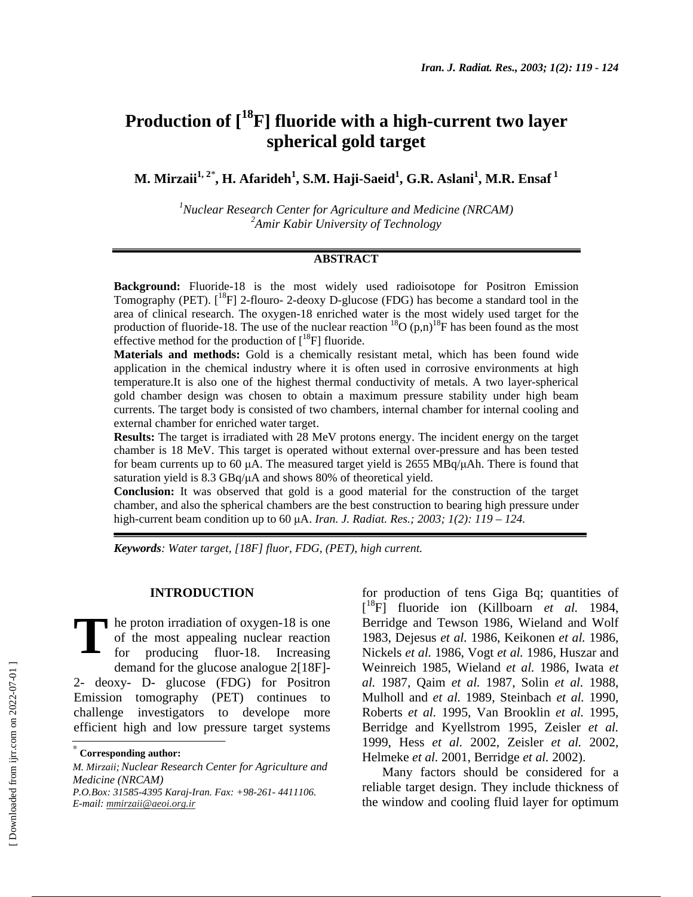# **Production of [18F] fluoride with a high-current two layer spherical gold target**

 $\mathbf{M}.$  Mirzaii $^{1,\,2^*},$  H. Afarideh $^{1},$  S.M. Haji-Saeid $^{1},$  G.R. Aslani $^{1},$  M.R. Ensaf $^{1}$ 

<sup>1</sup> Nuclear Research Center for Agriculture and Medicine (NRCAM) *2 Amir Kabir University of Technology* 

## **ABSTRACT**

**Background:** Fluoride-18 is the most widely used radioisotope for Positron Emission Tomography (PET).  $\binom{18}{1}$  2-flouro-2-deoxy D-glucose (FDG) has become a standard tool in the area of clinical research. The oxygen-18 enriched water is the most widely used target for the production of fluoride-18. The use of the nuclear reaction  ${}^{18}O(p,n){}^{18}F$  has been found as the most effective method for the production of  $[^{18}F]$  fluoride.

**Materials and methods:** Gold is a chemically resistant metal, which has been found wide application in the chemical industry where it is often used in corrosive environments at high temperature.It is also one of the highest thermal conductivity of metals. A two layer-spherical gold chamber design was chosen to obtain a maximum pressure stability under high beam currents. The target body is consisted of two chambers, internal chamber for internal cooling and external chamber for enriched water target.

**Results:** The target is irradiated with 28 MeV protons energy. The incident energy on the target chamber is 18 MeV. This target is operated without external over-pressure and has been tested for beam currents up to 60  $\mu$ A. The measured target yield is 2655 MBq/ $\mu$ Ah. There is found that saturation yield is 8.3 GBq/ $\mu$ A and shows 80% of theoretical yield.

**Conclusion:** It was observed that gold is a good material for the construction of the target chamber, and also the spherical chambers are the best construction to bearing high pressure under high-current beam condition up to 60 µA. *Iran. J. Radiat. Res.; 2003; 1(2): 119 – 124.* 

*Keywords: Water target, [18F] fluor, FDG, (PET), high current.* 

## **INTRODUCTION**

he proton irradiation of oxygen-18 is one of the most appealing nuclear reaction for producing fluor-18. Increasing demand for the glucose analogue 2[18F]- 2- deoxy- D- glucose (FDG) for Positron Emission tomography (PET) continues to challenge investigators to develope more efficient high and low pressure target systems **T**

*E-mail: mmirzaii@aeoi.org.ir*

for production of tens Giga Bq; quantities of [ 18F] fluoride ion (Killboarn *et al.* 1984, Berridge and Tewson 1986, Wieland and Wolf 1983, Dejesus *et al.* 1986, Keikonen *et al.* 1986, Nickels *et al.* 1986, Vogt *et al.* 1986, Huszar and Weinreich 1985, Wieland *et al.* 1986, Iwata *et al.* 1987, Qaim *et al.* 1987, Solin *et al.* 1988, Mulholl and *et al.* 1989, Steinbach *et al.* 1990, Roberts *et al.* 1995, Van Brooklin *et al.* 1995, Berridge and Kyellstrom 1995, Zeisler *et al.* 1999, Hess *et al.* 2002, Zeisler *et al.* 2002, Helmeke *et al.* 2001, Berridge *et al.* 2002).

Many factors should be considered for a reliable target design. They include thickness of the window and cooling fluid layer for optimum

<sup>∗</sup>  **Corresponding author:**

*M. Mirzaii;Nuclear Research Center for Agriculture and Medicine (NRCAM) P.O.Box: 31585-4395 Karaj-Iran. Fax: +98-261- 4411106.*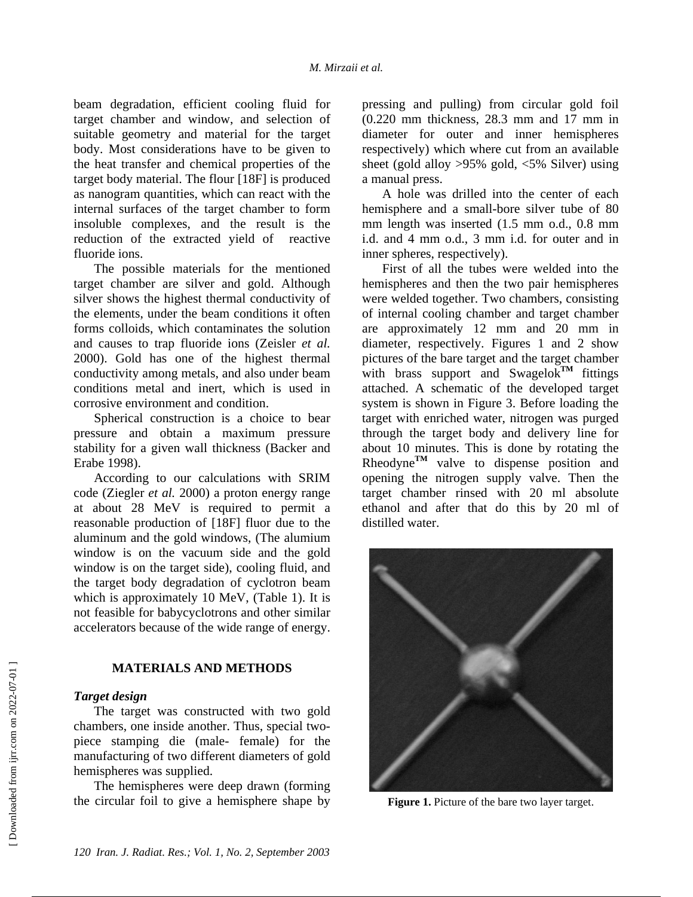beam degradation, efficient cooling fluid for target chamber and window, and selection of suitable geometry and material for the target body. Most considerations have to be given to the heat transfer and chemical properties of the target body material. The flour [18F] is produced as nanogram quantities, which can react with the internal surfaces of the target chamber to form insoluble complexes, and the result is the reduction of the extracted yield of reactive fluoride ions.

The possible materials for the mentioned target chamber are silver and gold. Although silver shows the highest thermal conductivity of the elements, under the beam conditions it often forms colloids, which contaminates the solution and causes to trap fluoride ions (Zeisler *et al.* 2000). Gold has one of the highest thermal conductivity among metals, and also under beam conditions metal and inert, which is used in corrosive environment and condition.

Spherical construction is a choice to bear pressure and obtain a maximum pressure stability for a given wall thickness (Backer and Erabe 1998).

According to our calculations with SRIM code (Ziegler *et al.* 2000) a proton energy range at about 28 MeV is required to permit a reasonable production of [18F] fluor due to the aluminum and the gold windows, (The alumium window is on the vacuum side and the gold window is on the target side), cooling fluid, and the target body degradation of cyclotron beam which is approximately 10 MeV, (Table 1). It is not feasible for babycyclotrons and other similar accelerators because of the wide range of energy.

## **MATERIALS AND METHODS**

## *Target design*

The target was constructed with two gold chambers, one inside another. Thus, special twopiece stamping die (male- female) for the manufacturing of two different diameters of gold hemispheres was supplied.

The hemispheres were deep drawn (forming the circular foil to give a hemisphere shape by

pressing and pulling) from circular gold foil (0.220 mm thickness, 28.3 mm and 17 mm in diameter for outer and inner hemispheres respectively) which where cut from an available sheet (gold alloy >95% gold, <5% Silver) using a manual press.

A hole was drilled into the center of each hemisphere and a small-bore silver tube of 80 mm length was inserted (1.5 mm o.d., 0.8 mm i.d. and 4 mm o.d., 3 mm i.d. for outer and in inner spheres, respectively).

First of all the tubes were welded into the hemispheres and then the two pair hemispheres were welded together. Two chambers, consisting of internal cooling chamber and target chamber are approximately 12 mm and 20 mm in diameter, respectively. Figures 1 and 2 show pictures of the bare target and the target chamber with brass support and Swagelok<sup>TM</sup> fittings attached. A schematic of the developed target system is shown in Figure 3. Before loading the target with enriched water, nitrogen was purged through the target body and delivery line for about 10 minutes. This is done by rotating the Rheodyne<sup>TM</sup> valve to dispense position and opening the nitrogen supply valve. Then the target chamber rinsed with 20 ml absolute ethanol and after that do this by 20 ml of distilled water.



**Figure 1.** Picture of the bare two layer target.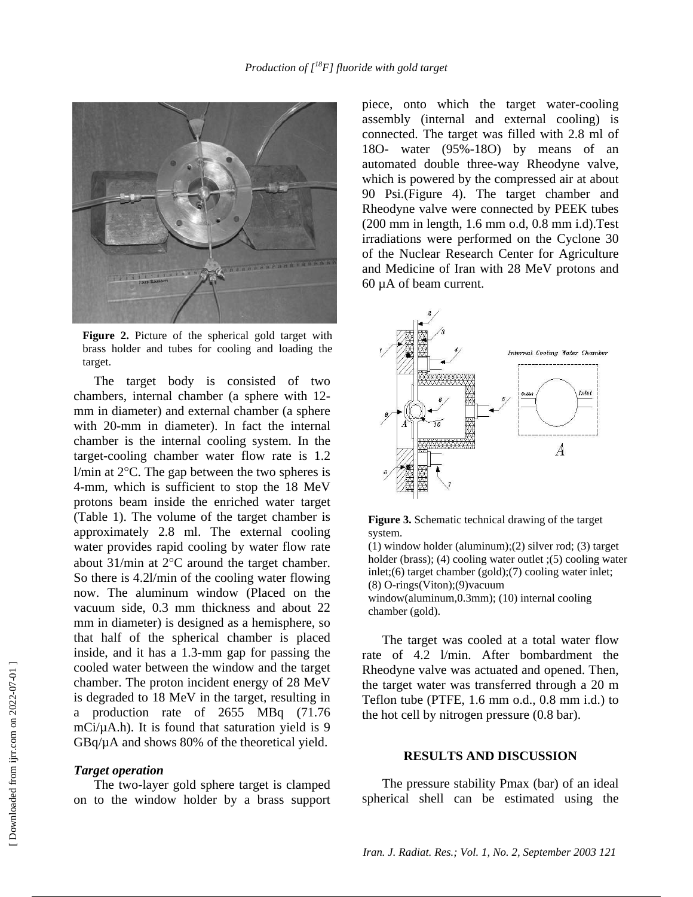

**Figure 2.** Picture of the spherical gold target with brass holder and tubes for cooling and loading the target.

The target body is consisted of two chambers, internal chamber (a sphere with 12 mm in diameter) and external chamber (a sphere with 20-mm in diameter). In fact the internal chamber is the internal cooling system. In the target-cooling chamber water flow rate is 1.2  $1/m$ in at  $2^{\circ}$ C. The gap between the two spheres is 4-mm, which is sufficient to stop the 18 MeV protons beam inside the enriched water target (Table 1). The volume of the target chamber is approximately 2.8 ml. The external cooling water provides rapid cooling by water flow rate about 31/min at 2°C around the target chamber. So there is 4.2l/min of the cooling water flowing now. The aluminum window (Placed on the vacuum side, 0.3 mm thickness and about 22 mm in diameter) is designed as a hemisphere, so that half of the spherical chamber is placed inside, and it has a 1.3-mm gap for passing the cooled water between the window and the target chamber. The proton incident energy of 28 MeV is degraded to 18 MeV in the target, resulting in a production rate of 2655 MBq (71.76 mCi/ $\mu$ A.h). It is found that saturation yield is 9 GBq/µA and shows 80% of the theoretical yield.

#### *Target operation*

The two-layer gold sphere target is clamped on to the window holder by a brass support piece, onto which the target water-cooling assembly (internal and external cooling) is connected. The target was filled with 2.8 ml of 18O- water (95%-18O) by means of an automated double three-way Rheodyne valve, which is powered by the compressed air at about 90 Psi.(Figure 4). The target chamber and Rheodyne valve were connected by PEEK tubes (200 mm in length, 1.6 mm o.d, 0.8 mm i.d).Test irradiations were performed on the Cyclone 30 of the Nuclear Research Center for Agriculture and Medicine of Iran with 28 MeV protons and 60 µA of beam current.





(1) window holder (aluminum)*;*(2) silver rod; (3) target holder (brass); (4) cooling water outlet ;(5) cooling water inlet;(6) target chamber (gold);(7) cooling water inlet; (8) O-rings(Viton);(9)vacuum window(aluminum, 0.3mm); (10) internal cooling chamber (gold).

The target was cooled at a total water flow rate of 4.2 l/min. After bombardment the Rheodyne valve was actuated and opened. Then, the target water was transferred through a 20 m Teflon tube (PTFE, 1.6 mm o.d., 0.8 mm i.d.) to the hot cell by nitrogen pressure (0.8 bar).

## **RESULTS AND DISCUSSION**

The pressure stability Pmax (bar) of an ideal spherical shell can be estimated using the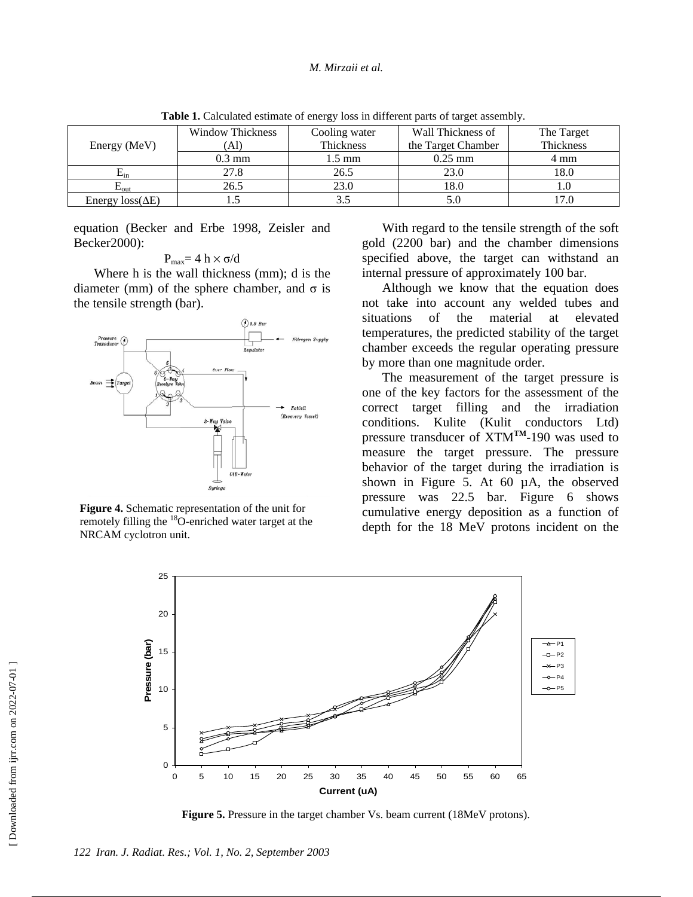| Energy (MeV)            | <b>Window Thickness</b> | Cooling water | Wall Thickness of  | The Target |
|-------------------------|-------------------------|---------------|--------------------|------------|
|                         | `Al)                    | Thickness     | the Target Chamber | Thickness  |
|                         | $0.3 \text{ mm}$        | 1.5 mm        | $0.25$ mm          | 4 mm       |
| $E_{\rm in}$            | 27.8                    | 26.5          | 23.0               | 18.0       |
| $L_{\rm{OIII}}$         | 26.5                    | 23.0          | 18.0               |            |
| Energy $loss(\Delta E)$ |                         |               | 5.0                |            |

**Table 1.** Calculated estimate of energy loss in different parts of target assembly.

equation (Becker and Erbe 1998, Zeisler and Becker2000):

$$
P_{max}\!\!=4\,h\times\sigma\!/\!d
$$

Where h is the wall thickness (mm); d is the diameter (mm) of the sphere chamber, and σ is the tensile strength (bar).



**Figure 4.** Schematic representation of the unit for remotely filling the <sup>18</sup>O-enriched water target at the NRCAM cyclotron unit.

With regard to the tensile strength of the soft gold (2200 bar) and the chamber dimensions specified above, the target can withstand an internal pressure of approximately 100 bar.

Although we know that the equation does not take into account any welded tubes and situations of the material at elevated temperatures, the predicted stability of the target chamber exceeds the regular operating pressure by more than one magnitude order.

The measurement of the target pressure is one of the key factors for the assessment of the correct target filling and the irradiation conditions. Kulite (Kulit conductors Ltd) pressure transducer of XTM**TM**-190 was used to measure the target pressure. The pressure behavior of the target during the irradiation is shown in Figure 5. At 60 µA, the observed pressure was 22.5 bar. Figure 6 shows cumulative energy deposition as a function of depth for the 18 MeV protons incident on the



**Figure 5.** Pressure in the target chamber Vs. beam current (18MeV protons).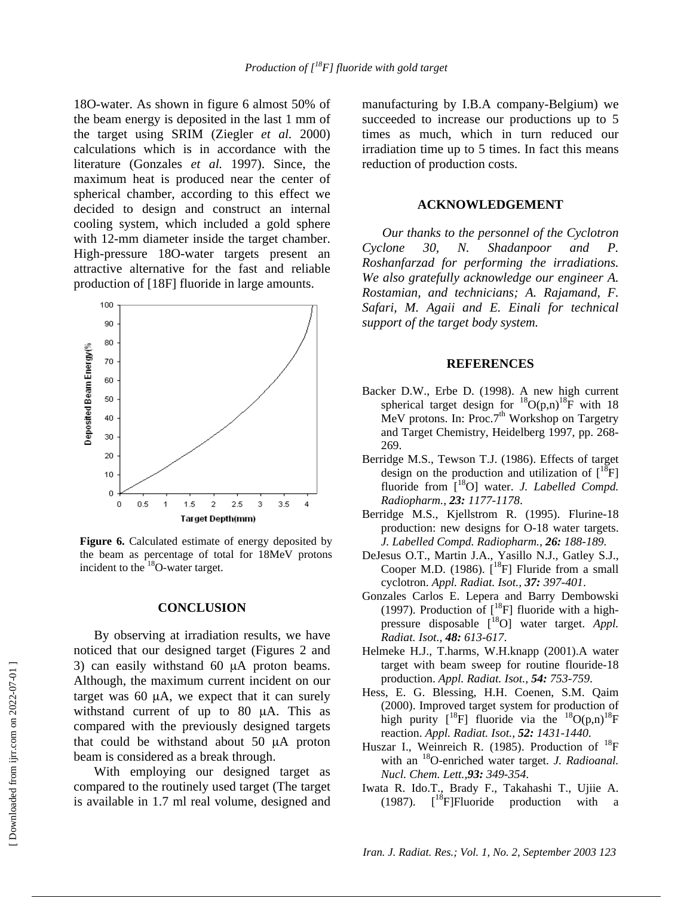18O-water. As shown in figure 6 almost 50% of the beam energy is deposited in the last 1 mm of the target using SRIM (Ziegler *et al.* 2000) calculations which is in accordance with the literature (Gonzales *et al.* 1997). Since, the maximum heat is produced near the center of spherical chamber, according to this effect we decided to design and construct an internal cooling system, which included a gold sphere with 12-mm diameter inside the target chamber. High-pressure 18O-water targets present an attractive alternative for the fast and reliable production of [18F] fluoride in large amounts.



**Figure 6.** Calculated estimate of energy deposited by the beam as percentage of total for 18MeV protons incident to the 18O-water target.

#### **CONCLUSION**

By observing at irradiation results, we have noticed that our designed target (Figures 2 and 3) can easily withstand 60  $\mu$ A proton beams. Although, the maximum current incident on our target was 60 µA, we expect that it can surely withstand current of up to 80 µA. This as compared with the previously designed targets that could be withstand about 50 µA proton beam is considered as a break through.

With employing our designed target as compared to the routinely used target (The target is available in 1.7 ml real volume, designed and

manufacturing by I.B.A company-Belgium) we succeeded to increase our productions up to 5 times as much, which in turn reduced our irradiation time up to 5 times. In fact this means reduction of production costs.

## **ACKNOWLEDGEMENT**

*Our thanks to the personnel of the Cyclotron Cyclone 30, N. Shadanpoor and P. Roshanfarzad for performing the irradiations. We also gratefully acknowledge our engineer A. Rostamian, and technicians; A. Rajamand, F. Safari, M. Agaii and E. Einali for technical support of the target body system.*

### **REFERENCES**

- Backer D.W., Erbe D. (1998). A new high current spherical target design for  ${}^{18}O(p,n){}^{18}F$  with 18 MeV protons. In: Proc.7<sup>th</sup> Workshop on Targetry and Target Chemistry, Heidelberg 1997, pp. 268- 269.
- Berridge M.S., Tewson T.J. (1986). Effects of target design on the production and utilization of  $[^{18}F]$ fluoride from [<sup>18</sup>O] water. *J. Labelled Compd. Radiopharm., 23: 1177-1178*.
- Berridge M.S., Kjellstrom R. (1995). Flurine-18 production: new designs for O-18 water targets. *J. Labelled Compd. Radiopharm., 26: 188-189.*
- DeJesus O.T., Martin J.A., Yasillo N.J., Gatley S.J., Cooper M.D. (1986).  $\int_0^{18}$ F] Fluride from a small cyclotron. *Appl. Radiat. Isot., 37: 397-401*.
- Gonzales Carlos E. Lepera and Barry Dembowski (1997). Production of  $\lfloor {}^{18}F \rfloor$  fluoride with a highpressure disposable [18O] water target. *Appl. Radiat. Isot., 48: 613-617*.
- Helmeke H.J., T.harms, W.H.knapp (2001).A water target with beam sweep for routine flouride-18 production. *Appl. Radiat. Isot., 54: 753-759*.
- Hess, E. G. Blessing, H.H. Coenen, S.M. Qaim (2000). Improved target system for production of high purity  $\begin{bmatrix} 1^8F \end{bmatrix}$  fluoride via the  $\begin{bmatrix} 1^8O(p,n) \end{bmatrix}$ <sup>18</sup>F reaction. *Appl. Radiat. Isot., 52: 1431-1440*.
- Huszar I., Weinreich R. (1985). Production of  $^{18}$ F with an 18O-enriched water target. *J. Radioanal. Nucl. Chem. Lett.,93: 349-354*.
- Iwata R. Ido.T., Brady F., Takahashi T., Ujiie A. (1987).  $\int_0^{18}$ F]Fluoride production with a